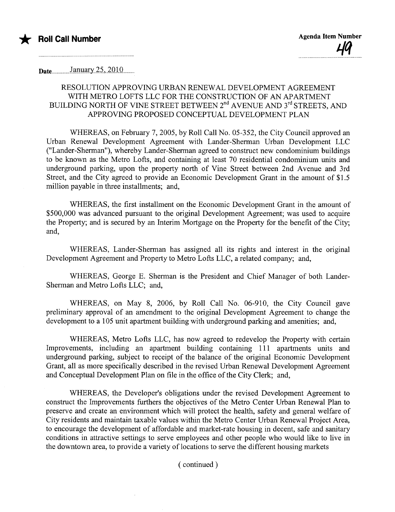

Date..................J~1)IaarY..S-.,...2'OlQ...........

.........................

## RESOLUTION APPROVING URBAN RENEWAL DEVELOPMENT AGREEMENT WITH METRO LOFTS LLC FOR THE CONSTRUCTION OF AN APARTMENT BUILDING NORTH OF VINE STREET BETWEEN  $2^{nd}$  AVENUE AND  $3^{rd}$  STREETS, AND APPROVING PROPOSED CONCEPTUAL DEVELOPMENT PLAN

WHEREAS, on February 7, 2005, by Roll Call No. 05-352, the City Council approved an Urban Renewal Development Agreement with Lander-Sherman Urban Development LLC ("Lander-Sherman"), whereby Lander-Sherman agreed to construct new condominium buildings to be known as the Metro Lofts, and containing at least 70 residential condominium units and underground parking, upon the property north of Vine Street between 2nd Avenue and 3rd Street, and the City agreed to provide an Economic Development Grant in the amount of \$1.5 million payable in three installments; and,

WHEREAS, the first installment on the Economic Development Grant in the amount of \$500,000 was advanced pursuant to the original Development Agreement; was used to acquire the Property; and is secured by an Interim Mortgage on the Property for the benefit of the City; and,

WHEREAS, Lander-Sherman has assigned all its rights and interest in the original Development Agreement and Property to Metro Lofts LLC, a related company; and,

WHEREAS, George E. Sherman is the President and Chief Manager of both Lander-Sherman and Metro Lofts LLC; and,

WHEREAS, on May 8, 2006, by Roll Call No. 06-910, the City Council gave preliminary approval of an amendment to the original Development Agreement to change the development to a 105 unit apartment building with underground parking and amenities; and,

WHEREAS, Metro Lofts LLC, has now agreed to redevelop the Property with certain Improvements, including an apartment building containing 111 aparments units and underground parking, subject to receipt of the balance of the original Economic Development Grant, all as more specifically described in the revised Urban Renewal Development Agreement and Conceptual Development Plan on file in the office of the City Clerk; and,

WHEREAS, the Developer's obligations under the revised Development Agreement to construct the Improvements furthers the objectives of the Metro Center Urban Renewal Plan to preserve and create an environment which will protect the health, safety and general welfare of City residents and maintain taxable values within the Metro Center Urban Renewal Project Area, to encourage the development of affordable and market-rate housing in decent, safe and sanitary conditions in attractive settings to serve employees and other people who would like to live in the downtown area, to provide a variety of locations to serve the different housing markets

( continued)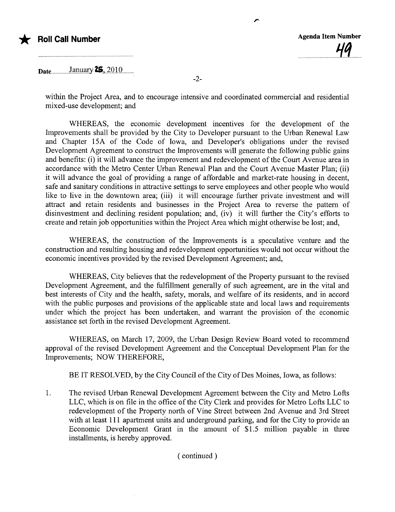

Date..................allllaiy 2\$,..2.010............

within the Project Area, and to encourage intensive and coordinated commercial and residential mixed-use development; and

-2-

,.

WHEREAS, the economic development incentives for the development of the Improvements shall be provided by the City to Developer pursuant to the Urban Renewal Law and Chapter 15A of the Code of Iowa, and Developer's obligations under the revised Development Agreement to construct the Improvements will generate the following public gains and benefits: (i) it will advance the improvement and redevelopment of the Court Avenue area in accordance with the Metro Center Urban Renewal Plan and the Court Avenue Master Plan; (ii) it will advance the goal of providing a range of affordable and market-rate housing in decent, safe and sanitary conditions in attractive settings to serve employees and other people who would like to live in the downtown area; (iii) it will encourage further private investment and will attract and retain residents and businesses in the Project Area to reverse the pattern of disinvestment and declining resident population; and, (iv) it will further the City's efforts to create and retain job opportunities within the Project Area which might otherwise be lost; and,

WHEREAS, the construction of the Improvements is a speculative venture and the construction and resulting housing and redevelopment opportunities would not occur without the economic incentives provided by the revised Development Agreement; and,

WHEREAS, City believes that the redevelopment of the Property pursuant to the revised Development Agreement, and the fulfillment generally of such agreement, are in the vital and best interests of City and the health, safety, morals, and welfare of its residents, and in accord with the public purposes and provisions of the applicable state and local laws and requirements under which the project has been undertaken, and warrant the provision of the economic assistance set forth in the revised Development Agreement.

WHEREAS, on March 17, 2009, the Urban Design Review Board voted to recommend approval of the revised Development Agreement and the Conceptual Development Plan for the Improvements; NOW THEREFORE,

BE IT RESOLVED, by the City Council of the City of Des Moines, Iowa, as follows:

1. The revised Urban Renewal Development Agreement between the City and Metro Lofts LLC, which is on file in the office of the City Clerk and provides for Metro Lofts LLC to redevelopment of the Property north of Vine Street between 2nd Avenue and 3rd Street with at least 111 apartment units and underground parking, and for the City to provide an Economic Development Grant in the amount of \$1.5 million payable in three installments, is hereby approved.

( continued)